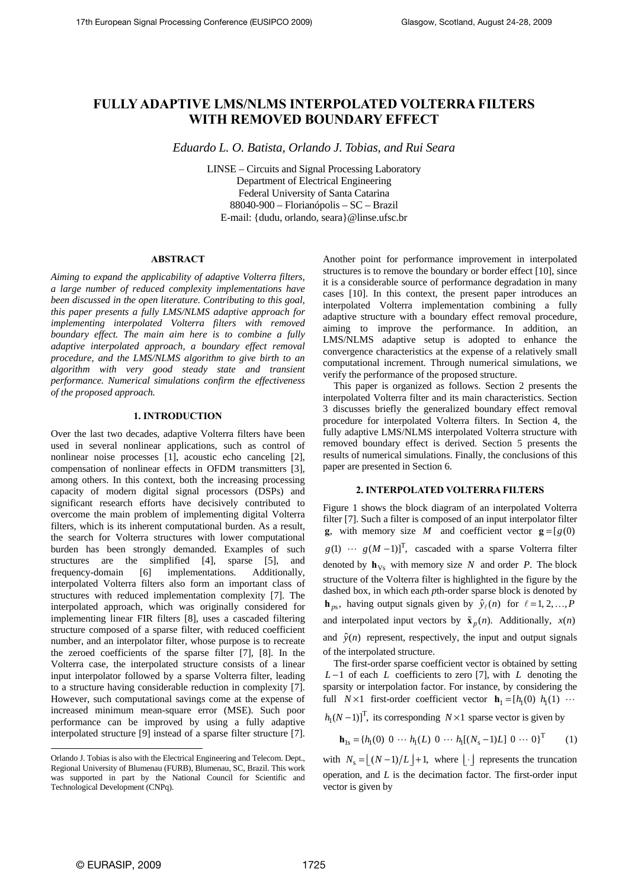# **FULLY ADAPTIVE LMS/NLMS INTERPOLATED VOLTERRA FILTERS WITH REMOVED BOUNDARY EFFECT**

*Eduardo L. O. Batista, Orlando J. Tobias, and Rui Seara* 

LINSE – Circuits and Signal Processing Laboratory Department of Electrical Engineering Federal University of Santa Catarina 88040-900 – Florianópolis – SC – Brazil E-mail: {dudu, orlando, seara}@linse.ufsc.br

# **ABSTRACT**

*Aiming to expand the applicability of adaptive Volterra filters, a large number of reduced complexity implementations have been discussed in the open literature. Contributing to this goal, this paper presents a fully LMS/NLMS adaptive approach for implementing interpolated Volterra filters with removed boundary effect. The main aim here is to combine a fully adaptive interpolated approach, a boundary effect removal procedure, and the LMS/NLMS algorithm to give birth to an algorithm with very good steady state and transient performance. Numerical simulations confirm the effectiveness of the proposed approach.* 

## **1. INTRODUCTION**

Over the last two decades, adaptive Volterra filters have been used in several nonlinear applications, such as control of nonlinear noise processes [1], acoustic echo canceling [2], compensation of nonlinear effects in OFDM transmitters [3], among others. In this context, both the increasing processing capacity of modern digital signal processors (DSPs) and significant research efforts have decisively contributed to overcome the main problem of implementing digital Volterra filters, which is its inherent computational burden. As a result, the search for Volterra structures with lower computational burden has been strongly demanded. Examples of such structures are the simplified [4], sparse [5], and frequency-domain [6] implementations. Additionally, interpolated Volterra filters also form an important class of structures with reduced implementation complexity [7]. The interpolated approach, which was originally considered for implementing linear FIR filters [8], uses a cascaded filtering structure composed of a sparse filter, with reduced coefficient number, and an interpolator filter, whose purpose is to recreate the zeroed coefficients of the sparse filter [7], [8]. In the Volterra case, the interpolated structure consists of a linear input interpolator followed by a sparse Volterra filter, leading to a structure having considerable reduction in complexity [7]. However, such computational savings come at the expense of increased minimum mean-square error (MSE). Such poor performance can be improved by using a fully adaptive interpolated structure [9] instead of a sparse filter structure [7].

Another point for performance improvement in interpolated structures is to remove the boundary or border effect [10], since it is a considerable source of performance degradation in many cases [10]. In this context, the present paper introduces an interpolated Volterra implementation combining a fully adaptive structure with a boundary effect removal procedure, aiming to improve the performance. In addition, an LMS/NLMS adaptive setup is adopted to enhance the convergence characteristics at the expense of a relatively small computational increment. Through numerical simulations, we verify the performance of the proposed structure.

This paper is organized as follows. Section 2 presents the interpolated Volterra filter and its main characteristics. Section 3 discusses briefly the generalized boundary effect removal procedure for interpolated Volterra filters. In Section 4, the fully adaptive LMS/NLMS interpolated Volterra structure with removed boundary effect is derived. Section 5 presents the results of numerical simulations. Finally, the conclusions of this paper are presented in Section 6.

## **2. INTERPOLATED VOLTERRA FILTERS**

Figure 1 shows the block diagram of an interpolated Volterra filter [7]. Such a filter is composed of an input interpolator filter **g**, with memory size *M* and coefficient vector  $\mathbf{g} = [g(0)]$  $g(1) \cdots g(M-1)$ <sup>T</sup>, cascaded with a sparse Volterra filter denoted by  $h_{Vs}$  with memory size *N* and order *P*. The block structure of the Volterra filter is highlighted in the figure by the dashed box, in which each *p*th-order sparse block is denoted by  $\mathbf{h}_{ps}$ , having output signals given by  $\hat{y}_f(n)$  for  $\ell = 1, 2, ..., P$ and interpolated input vectors by  $\tilde{\mathbf{x}}_n(n)$ . Additionally,  $x(n)$ and  $\hat{y}(n)$  represent, respectively, the input and output signals of the interpolated structure.

The first-order sparse coefficient vector is obtained by setting *L* −1 of each *L* coefficients to zero [7], with *L* denoting the sparsity or interpolation factor. For instance, by considering the full  $N \times 1$  first-order coefficient vector  $\mathbf{h}_1 = [h_1(0) \ h_1(1) \ \cdots$ 

 $h_1(N-1)$ <sup>T</sup>, its corresponding  $N \times 1$  sparse vector is given by

$$
\mathbf{h}_{1s} = \{h_1(0) \ 0 \ \cdots \ h_1(L) \ 0 \ \cdots \ h_1[(N_s - 1)L] \ 0 \ \cdots \ 0\}^T \tag{1}
$$

with  $N_s = |(N-1)/L| + 1$ , where | | represents the truncation operation, and *L* is the decimation factor. The first-order input vector is given by

l

Orlando J. Tobias is also with the Electrical Engineering and Telecom. Dept., Regional University of Blumenau (FURB), Blumenau, SC, Brazil. This work was supported in part by the National Council for Scientific and Technological Development (CNPq).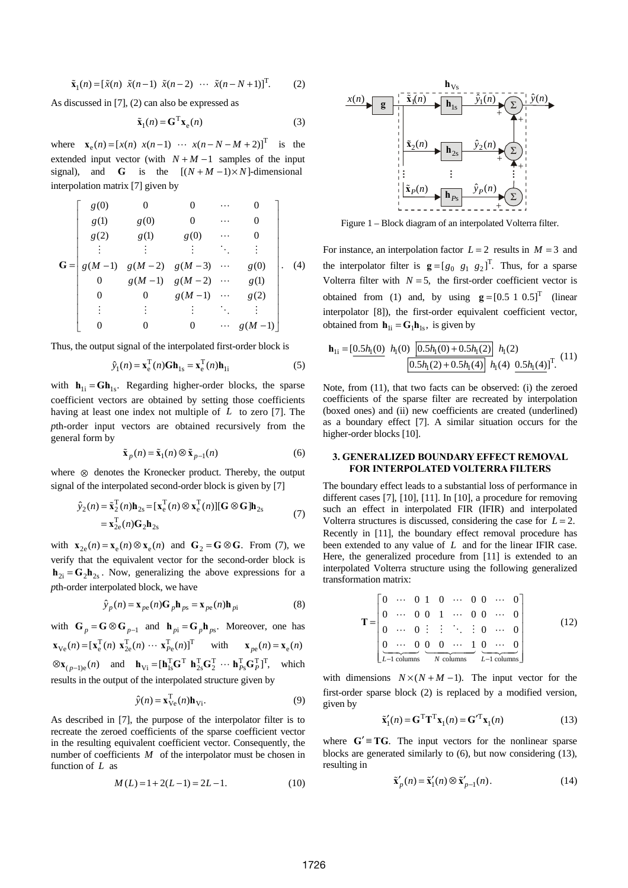$$
\tilde{\mathbf{x}}_1(n) = [\tilde{x}(n) \ \tilde{x}(n-1) \ \tilde{x}(n-2) \ \cdots \ \tilde{x}(n-N+1)]^{\mathrm{T}}.
$$
 (2)

As discussed in [7], (2) can also be expressed as

$$
\tilde{\mathbf{x}}_1(n) = \mathbf{G}^{\mathrm{T}} \mathbf{x}_e(n) \tag{3}
$$

where  $\mathbf{x}_e(n) = [x(n) \ x(n-1) \ \cdots \ x(n-N-M+2)]^T$  is the extended input vector (with  $N + M - 1$  samples of the input signal), and **G** is the  $[(N + M - 1) \times N]$ -dimensional interpolation matrix [7] given by

$$
\mathbf{G} = \begin{bmatrix} g(0) & 0 & 0 & \cdots & 0 \\ g(1) & g(0) & 0 & \cdots & 0 \\ g(2) & g(1) & g(0) & \cdots & 0 \\ \vdots & \vdots & \vdots & \ddots & \vdots \\ g(M-1) & g(M-2) & g(M-3) & \cdots & g(0) \\ 0 & g(M-1) & g(M-2) & \cdots & g(1) \\ 0 & 0 & g(M-1) & \cdots & g(2) \\ \vdots & \vdots & \vdots & \ddots & \vdots \\ 0 & 0 & 0 & \cdots & g(M-1) \end{bmatrix}.
$$
 (4)

Thus, the output signal of the interpolated first-order block is

$$
\hat{y}_1(n) = \mathbf{x}_e^{\mathrm{T}}(n)\mathbf{G}\mathbf{h}_{1s} = \mathbf{x}_e^{\mathrm{T}}(n)\mathbf{h}_{1i}
$$
\n(5)

with  $h_{1i} = Gh_{1s}$ . Regarding higher-order blocks, the sparse coefficient vectors are obtained by setting those coefficients having at least one index not multiple of *L* to zero [7]. The *p*th-order input vectors are obtained recursively from the general form by

$$
\tilde{\mathbf{x}}_p(n) = \tilde{\mathbf{x}}_1(n) \otimes \tilde{\mathbf{x}}_{p-1}(n) \tag{6}
$$

where ⊗ denotes the Kronecker product. Thereby, the output signal of the interpolated second-order block is given by [7]

$$
\hat{y}_2(n) = \tilde{\mathbf{x}}_2^{\mathrm{T}}(n)\mathbf{h}_{2\mathrm{s}} = [\mathbf{x}_{\mathrm{e}}^{\mathrm{T}}(n) \otimes \mathbf{x}_{\mathrm{e}}^{\mathrm{T}}(n)][\mathbf{G} \otimes \mathbf{G}]\mathbf{h}_{2\mathrm{s}} \n= \mathbf{x}_{2\mathrm{e}}^{\mathrm{T}}(n)\mathbf{G}_2\mathbf{h}_{2\mathrm{s}}
$$
\n(7)

with  $\mathbf{x}_{2e}(n) = \mathbf{x}_e(n) \otimes \mathbf{x}_e(n)$  and  $\mathbf{G}_2 = \mathbf{G} \otimes \mathbf{G}$ . From (7), we verify that the equivalent vector for the second-order block is  $h_{2i} = G_2 h_{2s}$ . Now, generalizing the above expressions for a *p*th-order interpolated block, we have

$$
\hat{y}_p(n) = \mathbf{x}_{pe}(n)\mathbf{G}_p\mathbf{h}_{ps} = \mathbf{x}_{pe}(n)\mathbf{h}_{pi}
$$
 (8)

with 
$$
\mathbf{G}_p = \mathbf{G} \otimes \mathbf{G}_{p-1}
$$
 and  $\mathbf{h}_{pi} = \mathbf{G}_p \mathbf{h}_{ps}$ . Moreover, one has  
\n $\mathbf{x}_{\text{Ve}}(n) = [\mathbf{x}_{\text{e}}^{\text{T}}(n) \ \mathbf{x}_{\text{2e}}^{\text{T}}(n) \ \cdots \ \mathbf{x}_{\text{Pe}}^{\text{T}}(n)]^{\text{T}}$  with  $\mathbf{x}_{pe}(n) = \mathbf{x}_{\text{e}}(n)$   
\n $\otimes \mathbf{x}_{(p-1)\text{e}}(n)$  and  $\mathbf{h}_{\text{Vi}} = [\mathbf{h}_{\text{1s}}^{\text{T}} \mathbf{G}^{\text{T}} \ \mathbf{h}_{\text{2s}}^{\text{T}} \mathbf{G}^{\text{T}}^{\text{T}} \ \cdots \ \mathbf{h}_{\text{Pe}}^{\text{T}} \mathbf{G}_{\text{P}}^{\text{T}}]^{\text{T}}$ , which

results in the output of the interpolated structure given by

$$
\hat{y}(n) = \mathbf{x}_{Ve}^{T}(n)\mathbf{h}_{Vi}.
$$
\n(9)

As described in [7], the purpose of the interpolator filter is to recreate the zeroed coefficients of the sparse coefficient vector in the resulting equivalent coefficient vector. Consequently, the number of coefficients *M* of the interpolator must be chosen in function of *L* as

$$
M(L) = 1 + 2(L - 1) = 2L - 1.
$$
 (10)



Figure 1 – Block diagram of an interpolated Volterra filter.

For instance, an interpolation factor  $L = 2$  results in  $M = 3$  and the interpolator filter is  $\mathbf{g} = [g_0 \ g_1 \ g_2]^T$ . Thus, for a sparse Volterra filter with  $N = 5$ , the first-order coefficient vector is obtained from (1) and, by using  $g = [0.5 \ 1 \ 0.5]^T$  (linear interpolator [8]), the first-order equivalent coefficient vector, obtained from  $\mathbf{h}_{1i} = \mathbf{G}_1 \mathbf{h}_{1s}$ , is given by

$$
\mathbf{h}_{1i} = \underbrace{[0.5h_1(0)} \ h_1(0) \ \underbrace{[0.5h_1(0) + 0.5h_1(2)} \ h_1(2)} \ h_1(2)
$$
\n
$$
\underbrace{[0.5h_1(2) + 0.5h_1(4)} \ h_1(4) \ 0.5h_1(4)]^T. (11)
$$

Note, from (11), that two facts can be observed: (i) the zeroed coefficients of the sparse filter are recreated by interpolation (boxed ones) and (ii) new coefficients are created (underlined) as a boundary effect [7]. A similar situation occurs for the higher-order blocks [10].

## **3. GENERALIZED BOUNDARY EFFECT REMOVAL FOR INTERPOLATED VOLTERRA FILTERS**

The boundary effect leads to a substantial loss of performance in different cases [7], [10], [11]. In [10], a procedure for removing such an effect in interpolated FIR (IFIR) and interpolated Volterra structures is discussed, considering the case for  $L = 2$ . Recently in [11], the boundary effect removal procedure has been extended to any value of *L* and for the linear IFIR case. Here, the generalized procedure from [11] is extended to an interpolated Volterra structure using the following generalized transformation matrix:

$$
\mathbf{T} = \begin{bmatrix} 0 & \cdots & 0 & 1 & 0 & \cdots & 0 & 0 & \cdots & 0 \\ 0 & \cdots & 0 & 0 & 1 & \cdots & 0 & 0 & \cdots & 0 \\ 0 & \cdots & 0 & \vdots & \vdots & \ddots & \vdots & 0 & \cdots & 0 \\ 0 & \cdots & 0 & 0 & \cdots & 1 & 0 & \cdots & 0 \\ \vdots & \vdots & \ddots & \vdots & \ddots & \vdots & \ddots & \vdots & \vdots \\ L-1 \text{ columns} & \cdots & \cdots & \cdots & \cdots & \cdots & \cdots & \vdots \\ 0 & \cdots & 0 & 0 & \cdots & 1 & 0 & \cdots & 0 \\ \end{bmatrix}
$$
 (12)

with dimensions  $N \times (N + M - 1)$ . The input vector for the first-order sparse block (2) is replaced by a modified version, given by

$$
\tilde{\mathbf{x}}_1'(n) = \mathbf{G}^{\mathrm{T}} \mathbf{T}^{\mathrm{T}} \mathbf{x}_1(n) = \mathbf{G}'^{\mathrm{T}} \mathbf{x}_1(n)
$$
 (13)

where  $G' = TG$ . The input vectors for the nonlinear sparse blocks are generated similarly to (6), but now considering (13), resulting in

$$
\tilde{\mathbf{x}}_p'(n) = \tilde{\mathbf{x}}_1'(n) \otimes \tilde{\mathbf{x}}_{p-1}'(n). \tag{14}
$$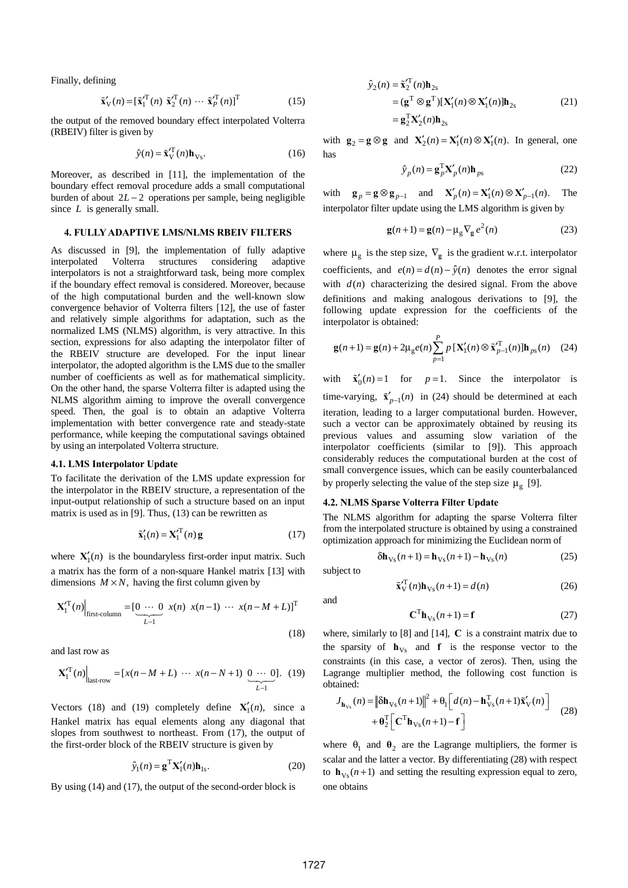Finally, defining

$$
\tilde{\mathbf{x}}'_{\mathbf{V}}(n) = [\tilde{\mathbf{x}}'^{\mathrm{T}}_{1}(n) \ \tilde{\mathbf{x}}'^{\mathrm{T}}_{2}(n) \ \cdots \ \tilde{\mathbf{x}}'^{\mathrm{T}}_{P}(n)]^{\mathrm{T}}
$$
(15)

the output of the removed boundary effect interpolated Volterra (RBEIV) filter is given by

$$
\hat{\mathbf{y}}(n) = \tilde{\mathbf{x}}_{\mathbf{V}}^{\prime \mathbf{T}}(n) \mathbf{h}_{\mathbf{V}\mathbf{s}}.\tag{16}
$$

Moreover, as described in [11], the implementation of the boundary effect removal procedure adds a small computational burden of about  $2L - 2$  operations per sample, being negligible since *L* is generally small.

## **4. FULLY ADAPTIVE LMS/NLMS RBEIV FILTERS**

As discussed in [9], the implementation of fully adaptive interpolated Volterra structures considering adaptive interpolators is not a straightforward task, being more complex if the boundary effect removal is considered. Moreover, because of the high computational burden and the well-known slow convergence behavior of Volterra filters [12], the use of faster and relatively simple algorithms for adaptation, such as the normalized LMS (NLMS) algorithm, is very attractive. In this section, expressions for also adapting the interpolator filter of the RBEIV structure are developed. For the input linear interpolator, the adopted algorithm is the LMS due to the smaller number of coefficients as well as for mathematical simplicity. On the other hand, the sparse Volterra filter is adapted using the NLMS algorithm aiming to improve the overall convergence speed. Then, the goal is to obtain an adaptive Volterra implementation with better convergence rate and steady-state performance, while keeping the computational savings obtained by using an interpolated Volterra structure.

#### **4.1. LMS Interpolator Update**

To facilitate the derivation of the LMS update expression for the interpolator in the RBEIV structure, a representation of the input-output relationship of such a structure based on an input matrix is used as in [9]. Thus, (13) can be rewritten as

$$
\tilde{\mathbf{x}}_1'(n) = \mathbf{X}_1'^{\mathrm{T}}(n)\mathbf{g}
$$
 (17)

where  $X'_{1}(n)$  is the boundaryless first-order input matrix. Such a matrix has the form of a non-square Hankel matrix [13] with dimensions  $M \times N$ , having the first column given by

$$
\mathbf{X}_{1}^{\prime \mathrm{T}}(n)\Big|_{\text{first-column}} = \underbrace{[0 \cdots 0}_{L-1} x(n) \ x(n-1) \ \cdots \ x(n-M+L)]^{\mathrm{T}}
$$
\n(18)

and last row as

$$
\mathbf{X}_{1}^{\prime T}(n)\Big|_{\text{last-row}} = [x(n-M+L) \cdots x(n-N+1) \underbrace{0 \cdots 0}_{L-1}]. (19)
$$

Vectors (18) and (19) completely define  $X'_1(n)$ , since a Hankel matrix has equal elements along any diagonal that slopes from southwest to northeast. From (17), the output of the first-order block of the RBEIV structure is given by

$$
\hat{y}_1(n) = \mathbf{g}^{\mathrm{T}} \mathbf{X}_1'(n) \mathbf{h}_{1s}.
$$
 (20)

By using (14) and (17), the output of the second-order block is

$$
\hat{y}_2(n) = \tilde{\mathbf{x}}_2^T(n)\mathbf{h}_{2s}
$$
\n
$$
= (\mathbf{g}^T \otimes \mathbf{g}^T)[\mathbf{X}_1'(n) \otimes \mathbf{X}_1'(n)]\mathbf{h}_{2s}
$$
\n
$$
= \mathbf{g}_2^T \mathbf{X}_2'(n)\mathbf{h}_{2s}
$$
\n(21)

with  $\mathbf{g}_2 = \mathbf{g} \otimes \mathbf{g}$  and  $\mathbf{X}'_2(n) = \mathbf{X}'_1(n) \otimes \mathbf{X}'_1(n)$ . In general, one has

$$
\hat{y}_p(n) = \mathbf{g}_p^{\mathrm{T}} \mathbf{X}'_p(n) \mathbf{h}_{ps} \tag{22}
$$

with  $\mathbf{g}_p = \mathbf{g} \otimes \mathbf{g}_{p-1}$  and  $\mathbf{X}'_p(n) = \mathbf{X}'_1(n) \otimes \mathbf{X}'_{p-1}(n)$ . The interpolator filter update using the LMS algorithm is given by

$$
\mathbf{g}(n+1) = \mathbf{g}(n) - \mu_{\mathbf{g}} \nabla_{\mathbf{g}} e^2(n)
$$
 (23)

where  $\mu_{g}$  is the step size,  $\nabla_{g}$  is the gradient w.r.t. interpolator coefficients, and  $e(n) = d(n) - \hat{y}(n)$  denotes the error signal with  $d(n)$  characterizing the desired signal. From the above definitions and making analogous derivations to [9], the following update expression for the coefficients of the interpolator is obtained:

$$
\mathbf{g}(n+1) = \mathbf{g}(n) + 2\mu_{g}e(n)\sum_{p=1}^{P} p\left[\mathbf{X}'_{1}(n) \otimes \tilde{\mathbf{x}}'^{T}_{p-1}(n)\right]\mathbf{h}_{ps}(n) \quad (24)
$$

with  $\tilde{\mathbf{x}}'_{0}(n) = 1$  for  $p = 1$ . Since the interpolator is time-varying,  $\tilde{\mathbf{x}}'_{p-1}(n)$  in (24) should be determined at each iteration, leading to a larger computational burden. However, such a vector can be approximately obtained by reusing its previous values and assuming slow variation of the interpolator coefficients (similar to [9]). This approach considerably reduces the computational burden at the cost of small convergence issues, which can be easily counterbalanced by properly selecting the value of the step size  $\mu_{g}$  [9].

## **4.2. NLMS Sparse Volterra Filter Update**

The NLMS algorithm for adapting the sparse Volterra filter from the interpolated structure is obtained by using a constrained optimization approach for minimizing the Euclidean norm of

$$
\delta \mathbf{h}_{\mathrm{Vs}}(n+1) = \mathbf{h}_{\mathrm{Vs}}(n+1) - \mathbf{h}_{\mathrm{Vs}}(n) \tag{25}
$$

subject to

$$
\tilde{\mathbf{x}}_{\mathrm{V}}^{\mathrm{T}}(n)\mathbf{h}_{\mathrm{V}_{\mathrm{S}}}(n+1) = d(n) \tag{26}
$$

and

$$
\mathbf{C}^{\mathrm{T}} \mathbf{h}_{\mathrm{Vs}}(n+1) = \mathbf{f} \tag{27}
$$

where, similarly to [8] and [14], **C** is a constraint matrix due to the sparsity of  $h_{Vs}$  and **f** is the response vector to the constraints (in this case, a vector of zeros). Then, using the Lagrange multiplier method, the following cost function is obtained:

$$
J_{\mathbf{h}_{\mathbf{V}_{\mathbf{S}}}}(n) = \left\| \delta \mathbf{h}_{\mathbf{V}_{\mathbf{S}}}(n+1) \right\|^2 + \Theta_1 \left[ d(n) - \mathbf{h}_{\mathbf{V}_{\mathbf{S}}}(n+1) \tilde{\mathbf{x}}_{\mathbf{V}}'(n) \right] + \Theta_2^{\mathrm{T}} \left[ \mathbf{C}^{\mathrm{T}} \mathbf{h}_{\mathbf{V}_{\mathbf{S}}}(n+1) - \mathbf{f} \right]
$$
(28)

where  $\theta_1$  and  $\theta_2$  are the Lagrange multipliers, the former is scalar and the latter a vector. By differentiating (28) with respect to  $\mathbf{h}_{\text{Vs}}(n+1)$  and setting the resulting expression equal to zero, one obtains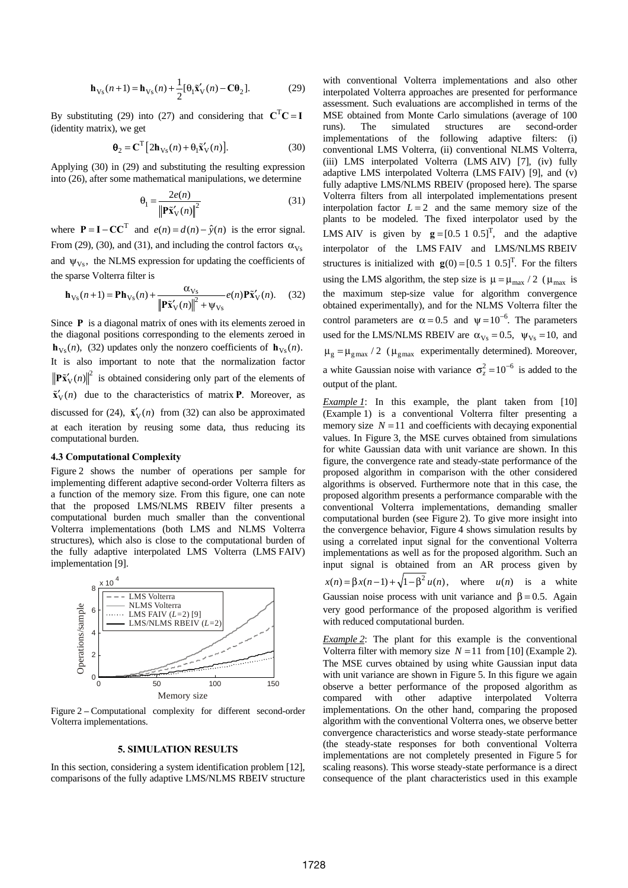$$
\mathbf{h}_{\mathrm{V}_{\mathrm{S}}}(n+1) = \mathbf{h}_{\mathrm{V}_{\mathrm{S}}}(n) + \frac{1}{2} [\theta_{1} \tilde{\mathbf{x}}_{\mathrm{V}}'(n) - \mathbf{C} \theta_{2}].
$$
 (29)

By substituting (29) into (27) and considering that  $C^{T}C = I$ (identity matrix), we get

$$
\mathbf{\Theta}_2 = \mathbf{C}^{\mathrm{T}} \left[ 2\mathbf{h}_{\mathrm{Vs}}(n) + \mathbf{\Theta}_1 \tilde{\mathbf{x}}_{\mathrm{V}}'(n) \right]. \tag{30}
$$

Applying (30) in (29) and substituting the resulting expression into (26), after some mathematical manipulations, we determine

$$
\theta_1 = \frac{2e(n)}{\left\| \mathbf{P}\tilde{\mathbf{x}}_V'(n) \right\|^2} \tag{31}
$$

where  $P = I - CC^T$  and  $e(n) = d(n) - \hat{v}(n)$  is the error signal. From (29), (30), and (31), and including the control factors  $\alpha_{Vs}$ and  $\psi_{Vs}$ , the NLMS expression for updating the coefficients of the sparse Volterra filter is

$$
\mathbf{h}_{\mathbf{V}_{\mathbf{S}}}(n+1) = \mathbf{P}\mathbf{h}_{\mathbf{V}_{\mathbf{S}}}(n) + \frac{\alpha_{\mathbf{V}_{\mathbf{S}}}}{\left\|\mathbf{P}\tilde{\mathbf{x}}_{\mathbf{V}}'(n)\right\|^{2} + \psi_{\mathbf{V}_{\mathbf{S}}}} e(n)\mathbf{P}\tilde{\mathbf{x}}_{\mathbf{V}}'(n).
$$
 (32)

Since **P** is a diagonal matrix of ones with its elements zeroed in the diagonal positions corresponding to the elements zeroed in  $\mathbf{h}_{\mathbf{v}_{s}}(n)$ , (32) updates only the nonzero coefficients of  $\mathbf{h}_{\mathbf{v}_{s}}(n)$ . It is also important to note that the normalization factor  $\left\| \mathbf{P} \mathbf{x}'_{\mathrm{V}}(n) \right\|^2$  is obtained considering only part of the elements of  $\tilde{\mathbf{x}}'_{\mathbf{V}}(n)$  due to the characteristics of matrix **P**. Moreover, as discussed for (24),  $\tilde{\mathbf{x}}'_{V}(n)$  from (32) can also be approximated at each iteration by reusing some data, thus reducing its computational burden.

# **4.3 Computational Complexity**

Figure 2 shows the number of operations per sample for implementing different adaptive second-order Volterra filters as a function of the memory size. From this figure, one can note that the proposed LMS/NLMS RBEIV filter presents a computational burden much smaller than the conventional Volterra implementations (both LMS and NLMS Volterra structures), which also is close to the computational burden of the fully adaptive interpolated LMS Volterra (LMS FAIV) implementation [9].



Figure 2 **–** Computational complexity for different second-order Volterra implementations.

# **5. SIMULATION RESULTS**

In this section, considering a system identification problem [12], comparisons of the fully adaptive LMS/NLMS RBEIV structure

with conventional Volterra implementations and also other interpolated Volterra approaches are presented for performance assessment. Such evaluations are accomplished in terms of the MSE obtained from Monte Carlo simulations (average of 100 runs). The simulated structures are second-order implementations of the following adaptive filters: (i) conventional LMS Volterra, (ii) conventional NLMS Volterra, (iii) LMS interpolated Volterra (LMS AIV) [7], (iv) fully adaptive LMS interpolated Volterra (LMS FAIV) [9], and (v) fully adaptive LMS/NLMS RBEIV (proposed here). The sparse Volterra filters from all interpolated implementations present interpolation factor  $L = 2$  and the same memory size of the plants to be modeled. The fixed interpolator used by the LMS AIV is given by  $g = [0.5 \ 1 \ 0.5]^T$ , and the adaptive interpolator of the LMS FAIV and LMS/NLMS RBEIV structures is initialized with  $g(0) = [0.5 \ 1 \ 0.5]^T$ . For the filters using the LMS algorithm, the step size is  $\mu = \mu_{\text{max}} / 2$  ( $\mu_{\text{max}}$  is the maximum step-size value for algorithm convergence obtained experimentally), and for the NLMS Volterra filter the control parameters are  $\alpha = 0.5$  and  $\psi = 10^{-6}$ . The parameters used for the LMS/NLMS RBEIV are  $\alpha_{Vs} = 0.5$ ,  $\psi_{Vs} = 10$ , and  $\mu_{\rm g} = \mu_{\rm g \, max} / 2$  ( $\mu_{\rm g \, max}$  experimentally determined). Moreover, a white Gaussian noise with variance  $\sigma_z^2 = 10^{-6}$  is added to the output of the plant.

*Example 1*: In this example, the plant taken from [10] (Example 1) is a conventional Volterra filter presenting a memory size  $N = 11$  and coefficients with decaying exponential values. In Figure 3, the MSE curves obtained from simulations for white Gaussian data with unit variance are shown. In this figure, the convergence rate and steady-state performance of the proposed algorithm in comparison with the other considered algorithms is observed. Furthermore note that in this case, the proposed algorithm presents a performance comparable with the conventional Volterra implementations, demanding smaller computational burden (see Figure 2). To give more insight into the convergence behavior, Figure 4 shows simulation results by using a correlated input signal for the conventional Volterra implementations as well as for the proposed algorithm. Such an input signal is obtained from an AR process given by  $x(n) = \beta x(n-1) + \sqrt{1-\beta^2} u(n)$ , where  $u(n)$  is a white Gaussian noise process with unit variance and  $\beta = 0.5$ . Again very good performance of the proposed algorithm is verified with reduced computational burden.

*Example 2*: The plant for this example is the conventional Volterra filter with memory size  $N = 11$  from [10] (Example 2). The MSE curves obtained by using white Gaussian input data with unit variance are shown in Figure 5. In this figure we again observe a better performance of the proposed algorithm as compared with other adaptive interpolated Volterra implementations. On the other hand, comparing the proposed algorithm with the conventional Volterra ones, we observe better convergence characteristics and worse steady-state performance (the steady-state responses for both conventional Volterra implementations are not completely presented in Figure 5 for scaling reasons). This worse steady-state performance is a direct consequence of the plant characteristics used in this example